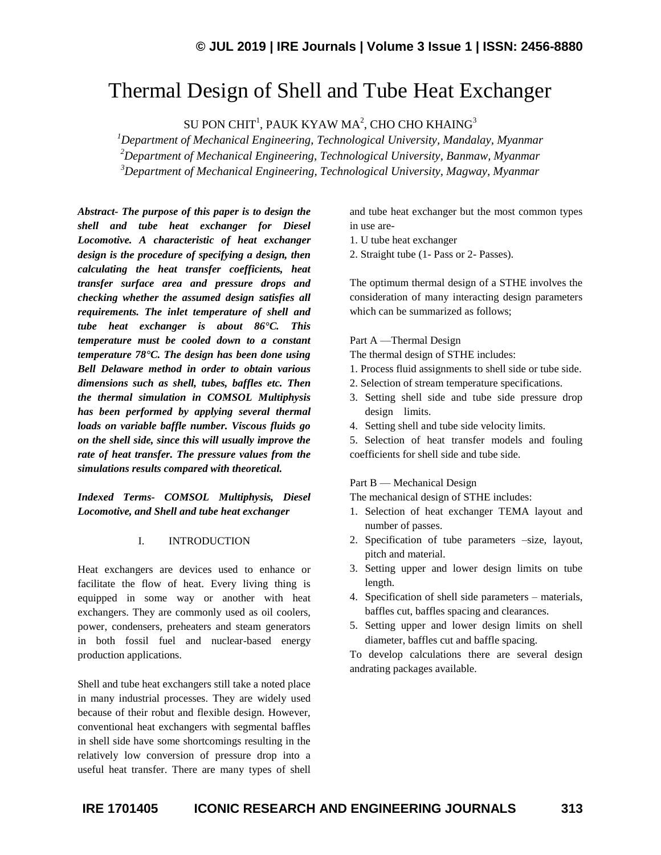# Thermal Design of Shell and Tube Heat Exchanger

SU PON CHIT $^1$ , PAUK KYAW MA $^2$ , CHO CHO KHAING $^3$ 

*<sup>1</sup>Department of Mechanical Engineering, Technological University, Mandalay, Myanmar <sup>2</sup>Department of Mechanical Engineering, Technological University, Banmaw, Myanmar <sup>3</sup>Department of Mechanical Engineering, Technological University, Magway, Myanmar*

*Abstract- The purpose of this paper is to design the shell and tube heat exchanger for Diesel Locomotive. A characteristic of heat exchanger design is the procedure of specifying a design, then calculating the heat transfer coefficients, heat transfer surface area and pressure drops and checking whether the assumed design satisfies all requirements. The inlet temperature of shell and tube heat exchanger is about 86°C. This temperature must be cooled down to a constant temperature 78°C. The design has been done using Bell Delaware method in order to obtain various dimensions such as shell, tubes, baffles etc. Then the thermal simulation in COMSOL Multiphysis has been performed by applying several thermal loads on variable baffle number. Viscous fluids go on the shell side, since this will usually improve the rate of heat transfer. The pressure values from the simulations results compared with theoretical.*

*Indexed Terms- COMSOL Multiphysis, Diesel Locomotive, and Shell and tube heat exchanger*

## I. INTRODUCTION

Heat exchangers are devices used to enhance or facilitate the flow of heat. Every living thing is equipped in some way or another with heat exchangers. They are commonly used as oil coolers, power, condensers, preheaters and steam generators in both fossil fuel and nuclear-based energy production applications.

Shell and tube heat exchangers still take a noted place in many industrial processes. They are widely used because of their robut and flexible design. However, conventional heat exchangers with segmental baffles in shell side have some shortcomings resulting in the relatively low conversion of pressure drop into a useful heat transfer. There are many types of shell and tube heat exchanger but the most common types in use are-

- 1. U tube heat exchanger
- 2. Straight tube (1- Pass or 2- Passes).

The optimum thermal design of a STHE involves the consideration of many interacting design parameters which can be summarized as follows;

## Part A —Thermal Design

The thermal design of STHE includes:

- 1. Process fluid assignments to shell side or tube side.
- 2. Selection of stream temperature specifications.
- 3. Setting shell side and tube side pressure drop design limits.
- 4. Setting shell and tube side velocity limits.

5. Selection of heat transfer models and fouling coefficients for shell side and tube side.

#### Part B — Mechanical Design

The mechanical design of STHE includes:

- 1. Selection of heat exchanger TEMA layout and number of passes.
- 2. Specification of tube parameters –size, layout, pitch and material.
- 3. Setting upper and lower design limits on tube length.
- 4. Specification of shell side parameters materials, baffles cut, baffles spacing and clearances.
- 5. Setting upper and lower design limits on shell diameter, baffles cut and baffle spacing.

To develop calculations there are several design andrating packages available.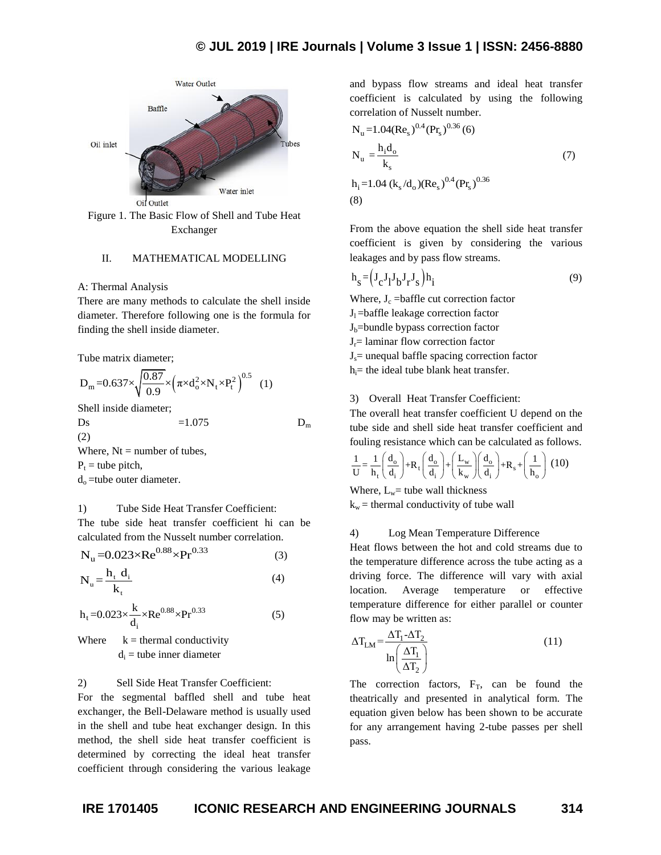



## II. MATHEMATICAL MODELLING

## A: Thermal Analysis

There are many methods to calculate the shell inside diameter. Therefore following one is the formula for finding the shell inside diameter.

Tube matrix diameter;

$$
D_m = 0.637 \times \sqrt{\frac{0.87}{0.9}} \times (\pi \times d_o^2 \times N_t \times P_t^2)^{0.5}
$$
 (1)

Shell inside diameter;

Ds  $=1.075$  D<sub>m</sub>

(2)

Where,  $Nt =$  number of tubes,  $P_t$  = tube pitch,  $d_0$ =tube outer diameter.

## 1) Tube Side Heat Transfer Coefficient:

The tube side heat transfer coefficient hi can be calculated from the Nusselt number correlation.

$$
N_{u} = 0.023 \times Re^{0.88} \times Pr^{0.33}
$$
 (3)

$$
N_{u} = \frac{h_{t} d_{i}}{k_{t}} \tag{4}
$$

$$
h_t = 0.023 \times \frac{k}{d_i} \times Re^{0.88} \times Pr^{0.33}
$$
 (5)

Where  $k =$  thermal conductivity  $d_i$  = tube inner diameter

## 2) Sell Side Heat Transfer Coefficient:

For the segmental baffled shell and tube heat exchanger, the Bell-Delaware method is usually used in the shell and tube heat exchanger design. In this method, the shell side heat transfer coefficient is determined by correcting the ideal heat transfer coefficient through considering the various leakage

and bypass flow streams and ideal heat transfer coefficient is calculated by using the following correlation of Nusselt number.

$$
N_{u} = 1.04 (Re_s)^{0.4} (Pr_s)^{0.36} (6)
$$
  
\n
$$
N_{u} = \frac{h_i d_o}{k_s}
$$
  
\n
$$
h_i = 1.04 (k_s/d_o) (Re_s)^{0.4} (Pr_s)^{0.36}
$$
  
\n(3)

From the above equation the shell side heat transfer coefficient is given by considering the various leakages and by pass flow streams.

$$
h_s = (J_c J_l J_b J_r J_s) h_i
$$
\n(9)

Where,  $J_c$  =baffle cut correction factor

 $J_1$ =baffle leakage correction factor

 $J<sub>b</sub>=$ bundle bypass correction factor

- $J_r$ = laminar flow correction factor
- $J_s$ = unequal baffle spacing correction factor

 $h_i$ = the ideal tube blank heat transfer.

## 3) Overall Heat Transfer Coefficient:

The overall heat transfer coefficient U depend on the tube side and shell side heat transfer coefficient and

fouling resistance which can be calculated as follows.  
\n
$$
\frac{1}{U} = \frac{1}{h_t} \left( \frac{d_o}{d_i} \right) + R_t \left( \frac{d_o}{d_i} \right) + \left( \frac{L_w}{k_w} \right) \left( \frac{d_o}{d_i} \right) + R_s + \left( \frac{1}{h_o} \right) (10)
$$

Where,  $L_w$ = tube wall thickness  $k_w$  = thermal conductivity of tube wall

## 4) Log Mean Temperature Difference

Heat flows between the hot and cold streams due to the temperature difference across the tube acting as a driving force. The difference will vary with axial location. Average temperature or effective temperature difference for either parallel or counter flow may be written as:

$$
\Delta T_{LM} = \frac{\Delta T_1 - \Delta T_2}{\ln \left(\frac{\Delta T_1}{\Delta T_2}\right)}\tag{11}
$$

The correction factors,  $F_T$ , can be found the theatrically and presented in analytical form. The equation given below has been shown to be accurate for any arrangement having 2-tube passes per shell pass.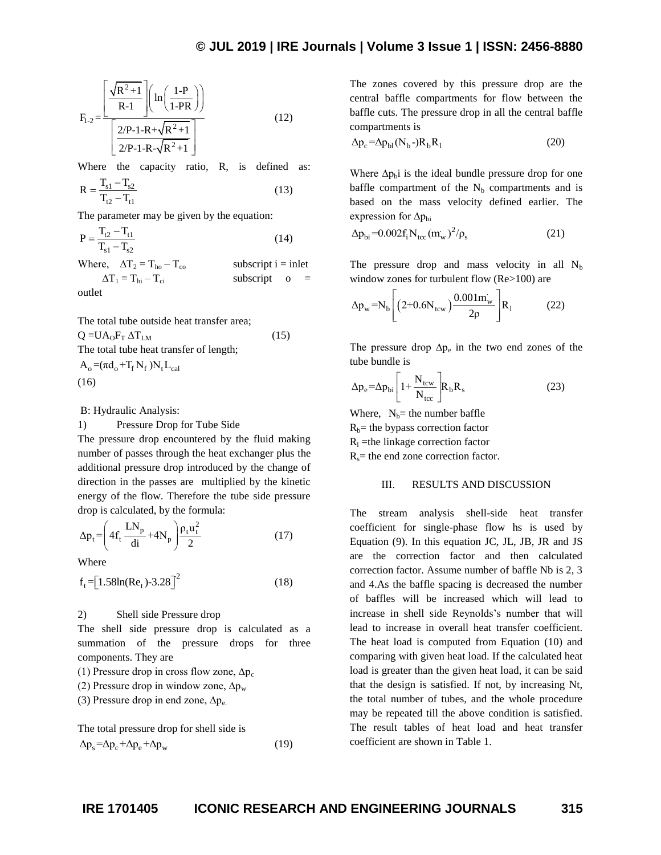$$
F_{1\text{-}2} = \frac{\left[\frac{\sqrt{R^2+1}}{R\text{-}1}\right] \left(\ln\left(\frac{1\text{-}P}{1\text{-}PR}\right)\right]}{\left[\frac{2/P\text{-}1\text{-}R+\sqrt{R^2+1}}{2/P\text{-}1\text{-}R-\sqrt{R^2+1}}\right]}
$$
(12)

Where the capacity ratio, R, is defined as:

$$
R = \frac{T_{s1} - T_{s2}}{T_{t2} - T_{t1}}
$$
(13)

The parameter may be given by the equation:

$$
P = \frac{T_{t2} - T_{t1}}{T_{s1} - T_{s2}}
$$
 (14)

Where,  $\Delta T_2 = T_{ho} - T_{co}$  subscript i = inlet  $\Delta T_1 = T_{hi} - T_{ci}$  subscript o =

outlet

The total tube outside heat transfer area;  $Q = UA<sub>0</sub>F<sub>T</sub> ΔT<sub>LM</sub>$  (15)

$$
(\mathbf{15})
$$

The total tube heat transfer of length;  $A_0 = (\pi d_0 + T_f N_f) N_t L_{cal}$ (16)

B: Hydraulic Analysis:

1) Pressure Drop for Tube Side

The pressure drop encountered by the fluid making number of passes through the heat exchanger plus the additional pressure drop introduced by the change of direction in the passes are multiplied by the kinetic energy of the flow. Therefore the tube side pressure drop is calculated, by the formula:

$$
\Delta p_t = \left( 4f_t \frac{LN_p}{di} + 4N_p \right) \frac{\rho_t u_t^2}{2}
$$
 (17)

Where

$$
f_t = [1.58\ln(Re_t) - 3.28]^2 \tag{18}
$$

2) Shell side Pressure drop

The shell side pressure drop is calculated as a summation of the pressure drops for three components. They are

(1) Pressure drop in cross flow zone,  $\Delta p_c$ 

(2) Pressure drop in window zone,  $\Delta p_w$ 

(3) Pressure drop in end zone,  $\Delta p_e$ .

The total pressure drop for shell side is  $\Delta p_s = \Delta p_c + \Delta p_e + \Delta p_w$ (19)

The zones covered by this pressure drop are the central baffle compartments for flow between the baffle cuts. The pressure drop in all the central baffle compartments is

$$
\Delta p_c = \Delta p_{bl} (N_b -) R_b R_l \tag{20}
$$

Where  $\Delta p_b$  is the ideal bundle pressure drop for one baffle compartment of the  $N_b$  compartments and is based on the mass velocity defined earlier. The expression for  $\Delta p_{bi}$ 

$$
\Delta p_{bi} = 0.002 f_i N_{tcc} (m_w)^2 / \rho_s
$$
 (21)

The pressure drop and mass velocity in all  $N<sub>b</sub>$ 

window zones for turbulent flow (Re>100) are  
\n
$$
\Delta p_w = N_b \left[ \left( 2 + 0.6 N_{\text{tcw}} \right) \frac{0.001 m_w}{2 \rho} \right] R_1 \qquad (22)
$$

The pressure drop  $\Delta p_e$  in the two end zones of the tube bundle is

$$
\Delta p_e = \Delta p_{bi} \left[ 1 + \frac{N_{tcw}}{N_{tcc}} \right] R_b R_s \tag{23}
$$

Where,  $N_b$ = the number baffle  $R_b$ = the bypass correction factor

 $R<sub>1</sub>$  =the linkage correction factor

 $R_s$ = the end zone correction factor.

#### III. RESULTS AND DISCUSSION

The stream analysis shell-side heat transfer coefficient for single-phase flow hs is used by Equation (9). In this equation JC, JL, JB, JR and JS are the correction factor and then calculated correction factor. Assume number of baffle Nb is 2, 3 and 4.As the baffle spacing is decreased the number of baffles will be increased which will lead to increase in shell side Reynolds's number that will lead to increase in overall heat transfer coefficient. The heat load is computed from Equation (10) and comparing with given heat load. If the calculated heat load is greater than the given heat load, it can be said that the design is satisfied. If not, by increasing Nt, the total number of tubes, and the whole procedure may be repeated till the above condition is satisfied. The result tables of heat load and heat transfer coefficient are shown in Table 1.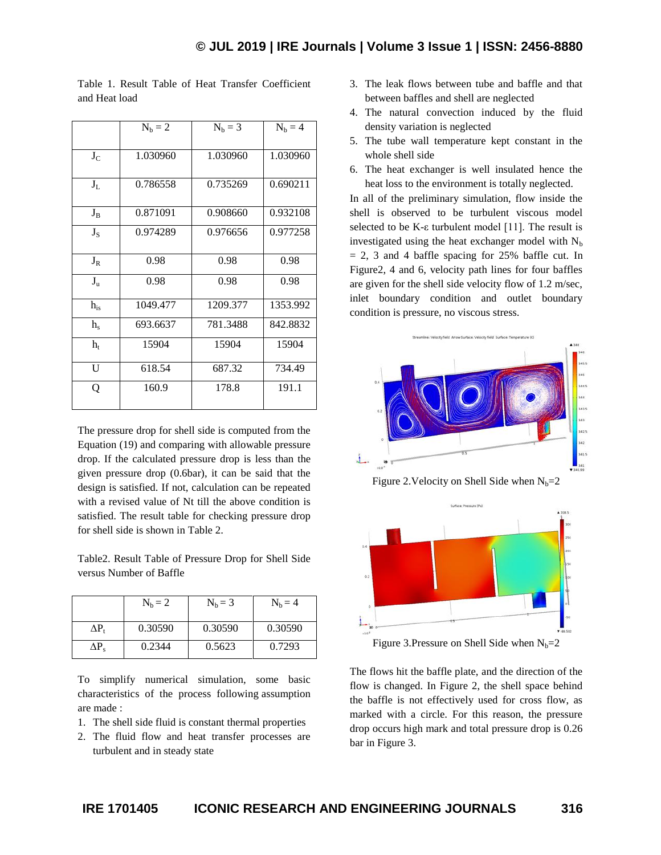|                | $N_b = 2$ | $N_b = 3$ | $N_b = 4$ |
|----------------|-----------|-----------|-----------|
|                |           |           |           |
| $J_C$          | 1.030960  | 1.030960  | 1.030960  |
|                |           |           |           |
| $J_L$          | 0.786558  | 0.735269  | 0.690211  |
|                |           |           |           |
| $J_B$          | 0.871091  | 0.908660  | 0.932108  |
| $J_S$          | 0.974289  | 0.976656  | 0.977258  |
|                |           |           |           |
| $J_R$          | 0.98      | 0.98      | 0.98      |
| $J_{u}$        | 0.98      | 0.98      | 0.98      |
| $h_{is}$       | 1049.477  | 1209.377  | 1353.992  |
| h <sub>s</sub> | 693.6637  | 781.3488  | 842.8832  |
| $h_{t}$        | 15904     | 15904     | 15904     |
| U              | 618.54    | 687.32    | 734.49    |
| Q              | 160.9     | 178.8     | 191.1     |
|                |           |           |           |

Table 1. Result Table of Heat Transfer Coefficient and Heat load

The pressure drop for shell side is computed from the Equation (19) and comparing with allowable pressure drop. If the calculated pressure drop is less than the given pressure drop (0.6bar), it can be said that the design is satisfied. If not, calculation can be repeated with a revised value of Nt till the above condition is satisfied. The result table for checking pressure drop for shell side is shown in Table 2.

Table2. Result Table of Pressure Drop for Shell Side versus Number of Baffle

|     | $N_h = 2$ | $N_h = 3$ | $N_b = 4$ |
|-----|-----------|-----------|-----------|
| ΔP, | 0.30590   | 0.30590   | 0.30590   |
| ΔP. | 0.2344    | 0.5623    | 0.7293    |

To simplify numerical simulation, some basic characteristics of the process following assumption are made :

- 1. The shell side fluid is constant thermal properties
- 2. The fluid flow and heat transfer processes are turbulent and in steady state
- 3. The leak flows between tube and baffle and that between baffles and shell are neglected
- 4. The natural convection induced by the fluid density variation is neglected
- 5. The tube wall temperature kept constant in the whole shell side
- 6. The heat exchanger is well insulated hence the heat loss to the environment is totally neglected.

In all of the preliminary simulation, flow inside the shell is observed to be turbulent viscous model selected to be K-ε turbulent model [11]. The result is investigated using the heat exchanger model with  $N_b$  $= 2$ , 3 and 4 baffle spacing for 25% baffle cut. In Figure2, 4 and 6, velocity path lines for four baffles are given for the shell side velocity flow of 1.2 m/sec, inlet boundary condition and outlet boundary condition is pressure, no viscous stress.



Figure 2. Velocity on Shell Side when  $N_b=2$ 



The flows hit the baffle plate, and the direction of the flow is changed. In Figure 2, the shell space behind the baffle is not effectively used for cross flow, as marked with a circle. For this reason, the pressure drop occurs high mark and total pressure drop is 0.26 bar in Figure 3.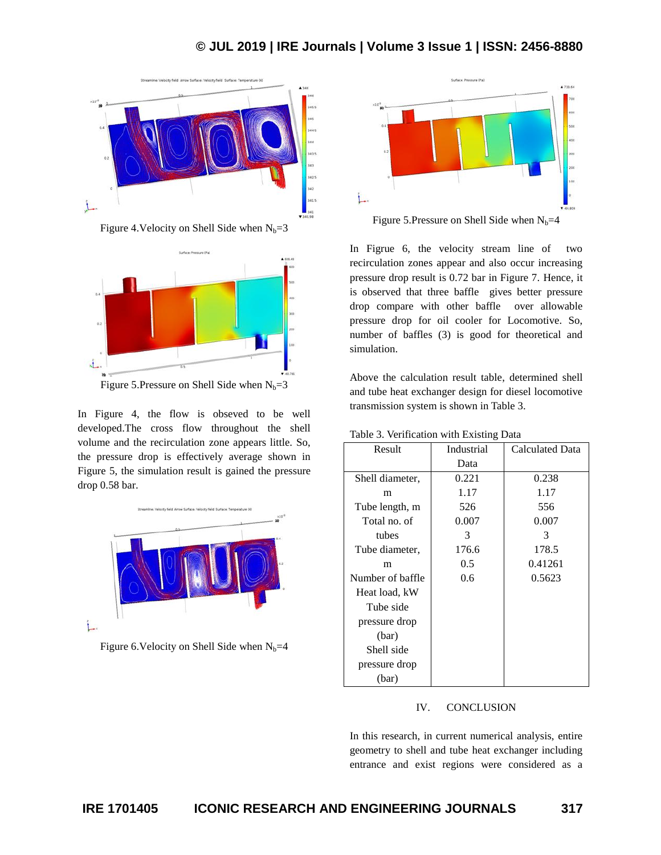## **© JUL 2019 | IRE Journals | Volume 3 Issue 1 | ISSN: 2456-8880**



Figure 4. Velocity on Shell Side when  $N_b=3$ 



Figure 5.Pressure on Shell Side when  $N_b=3$ 

In Figure 4, the flow is obseved to be well developed.The cross flow throughout the shell volume and the recirculation zone appears little. So, the pressure drop is effectively average shown in Figure 5, the simulation result is gained the pressure drop 0.58 bar.







In Figrue 6, the velocity stream line of two recirculation zones appear and also occur increasing pressure drop result is 0.72 bar in Figure 7. Hence, it is observed that three baffle gives better pressure drop compare with other baffle over allowable pressure drop for oil cooler for Locomotive. So, number of baffles (3) is good for theoretical and simulation.

Above the calculation result table, determined shell and tube heat exchanger design for diesel locomotive transmission system is shown in Table 3.

| Result           | Industrial | <b>Calculated Data</b> |
|------------------|------------|------------------------|
|                  | Data       |                        |
| Shell diameter,  | 0.221      | 0.238                  |
| m                | 1.17       | 1.17                   |
| Tube length, m   | 526        | 556                    |
| Total no. of     | 0.007      | 0.007                  |
| tubes            | 3          | 3                      |
| Tube diameter,   | 176.6      | 178.5                  |
| m                | 0.5        | 0.41261                |
| Number of baffle | 0.6        | 0.5623                 |
| Heat load, kW    |            |                        |
| Tube side        |            |                        |
| pressure drop    |            |                        |
| (bar)            |            |                        |
| Shell side       |            |                        |
| pressure drop    |            |                        |
| (bar)            |            |                        |

Table 3. Verification with Existing Data

## IV. CONCLUSION

In this research, in current numerical analysis, entire geometry to shell and tube heat exchanger including entrance and exist regions were considered as a